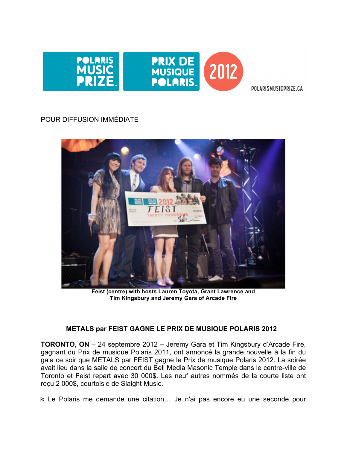

POLARISMUSICPRIZE.CA

# POUR DIFFUSION IMMÉDIATE



**Feist (centre) with hosts Lauren Toyota, Grant Lawrence and Tim Kingsbury and Jeremy Gara of Arcade Fire**

## **METALS par FEIST GAGNE LE PRIX DE MUSIQUE POLARIS 2012**

**TORONTO, ON** – 24 septembre 2012 **–** Jeremy Gara et Tim Kingsbury d'Arcade Fire, gagnant du Prix de musique Polaris 2011, ont annoncé la grande nouvelle à la fin du gala ce soir que METALS par FEIST gagne le Prix de musique Polaris 2012. La soirée avait lieu dans la salle de concert du Bell Media Masonic Temple dans le centre-ville de Toronto et Feist repart avec 30 000\$. Les neuf autres nommés de la courte liste ont reçu 2 000\$, courtoisie de Slaight Music.

« Le Polaris me demande une citation… Je n'ai pas encore eu une seconde pour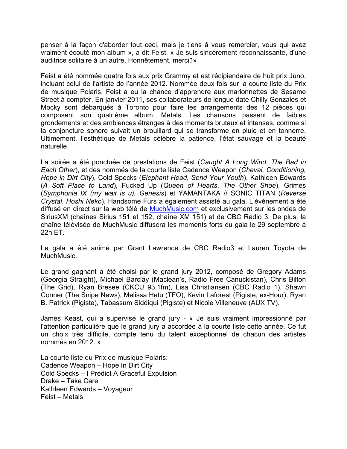penser à la façon d'aborder tout ceci, mais je tiens à vous remercier, vous qui avez vraiment écouté mon album », a dit Feist. « Je suis sincèrement reconnaissante, d'une auditrice solitaire à un autre. Honnêtement, merci. »

Feist a été nommée quatre fois aux prix Grammy et est récipiendaire de huit prix Juno, incluant celui de l'artiste de l'année 2012. Nommée deux fois sur la courte liste du Prix de musique Polaris, Feist a eu la chance d'apprendre aux marionnettes de Sesame Street à compter. En janvier 2011, ses collaborateurs de longue date Chilly Gonzales et Mocky sont débarqués à Toronto pour faire les arrangements des 12 pièces qui composent son quatrième album, Metals. Les chansons passent de faibles grondements et des ambiences étranges à des moments brutaux et intenses, comme si la conjoncture sonore suivait un brouillard qui se transforme en pluie et en tonnerre. Ultimement, l'esthétique de Metals célèbre la patience, l'état sauvage et la beauté naturelle.

La soirée a été ponctuée de prestations de Feist (*Caught A Long Wind*, *The Bad in Each Other*), et des nommés de la courte liste Cadence Weapon (*Cheval, Conditioning, Hope in Dirt City*), Cold Specks (*Elephant Head*, *Send Your Youth*), Kathleen Edwards (*A Soft Place to Land*), Fucked Up (*Queen of Hearts*, *The Other Shoe*), Grimes (*Symphonia IX (my wait is u), Genesis*) et YAMANTAKA // SONIC TITAN (*Reverse Crystal*, *Hoshi Neko*). Handsome Furs a également assisté au gala. L'événement a été diffusé en direct sur la web télé de MuchMusic.com et exclusivement sur les ondes de SiriusXM (chaînes Sirius 151 et 152, chaîne XM 151) et de CBC Radio 3. De plus, la chaîne télévisée de MuchMusic diffusera les moments forts du gala le 29 septembre à 22h ET.

Le gala a été animé par Grant Lawrence de CBC Radio3 et Lauren Toyota de MuchMusic.

Le grand gagnant a été choisi par le grand jury 2012, composé de Gregory Adams (Georgia Straight), Michael Barclay (Maclean's, Radio Free Canuckistan), Chris Bilton (The Grid), Ryan Bresee (CKCU 93.1fm), Lisa Christiansen (CBC Radio 1), Shawn Conner (The Snipe News), Melissa Hetu (TFO), Kevin Laforest (Pigiste, ex-Hour), Ryan B. Patrick (Pigiste), Tabassum Siddiqui (Pigiste) et Nicole Villeneuve (AUX TV).

James Keast, qui a supervisé le grand jury - « Je suis vraiment impressionné par l'attention particulière que le grand jury a accordée à la courte liste cette année. Ce fut un choix très difficile, compte tenu du talent exceptionnel de chacun des artistes nommés en 2012. »

La courte liste du Prix de musique Polaris: Cadence Weapon – Hope In Dirt City Cold Specks – I Predict A Graceful Expulsion Drake – Take Care Kathleen Edwards – Voyageur Feist – Metals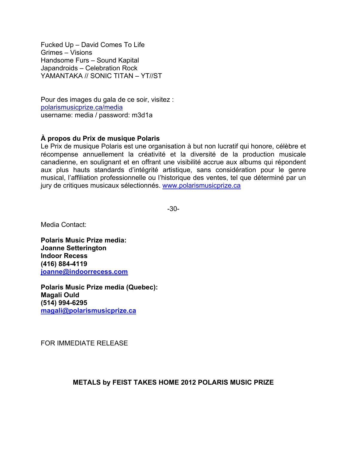Fucked Up – David Comes To Life Grimes – Visions Handsome Furs – Sound Kapital Japandroids – Celebration Rock YAMANTAKA // SONIC TITAN – YT//ST

Pour des images du gala de ce soir, visitez : polarismusicprize.ca/media username: media / password: m3d1a

## **À propos du Prix de musique Polaris**

Le Prix de musique Polaris est une organisation à but non lucratif qui honore, célèbre et récompense annuellement la créativité et la diversité de la production musicale canadienne, en soulignant et en offrant une visibilité accrue aux albums qui répondent aux plus hauts standards d'intégrité artistique, sans considération pour le genre musical, l'affiliation professionnelle ou l'historique des ventes, tel que déterminé par un jury de critiques musicaux sélectionnés. www.polarismusicprize.ca

-30-

Media Contact:

**Polaris Music Prize media: Joanne Setterington Indoor Recess (416) 884-4119 joanne@indoorrecess.com**

**Polaris Music Prize media (Quebec): Magali Ould (514) 994-6295 magali@polarismusicprize.ca**

FOR IMMEDIATE RELEASE

### **METALS by FEIST TAKES HOME 2012 POLARIS MUSIC PRIZE**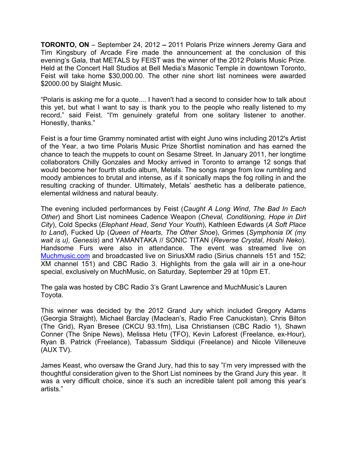**TORONTO, ON** – September 24, 2012 **–** 2011 Polaris Prize winners Jeremy Gara and Tim Kingsbury of Arcade Fire made the announcement at the conclusion of this evening's Gala, that METALS by FEIST was the winner of the 2012 Polaris Music Prize. Held at the Concert Hall Studios at Bell Media's Masonic Temple in downtown Toronto, Feist will take home \$30,000.00. The other nine short list nominees were awarded \$2000.00 by Slaight Music.

"Polaris is asking me for a quote.... I haven't had a second to consider how to talk about this yet, but what I want to say is thank you to the people who really listened to my record," said Feist. "I'm genuinely grateful from one solitary listener to another. Honestly, thanks."

Feist is a four time Grammy nominated artist with eight Juno wins including 2012's Artist of the Year, a two time Polaris Music Prize Shortlist nomination and has earned the chance to teach the muppets to count on Sesame Street. In January 2011, her longtime collaborators Chilly Gonzales and Mocky arrived in Toronto to arrange 12 songs that would become her fourth studio album, Metals. The songs range from low rumbling and moody ambiences to brutal and intense, as if it sonically maps the fog rolling in and the resulting cracking of thunder. Ultimately, Metals' aesthetic has a deliberate patience, elemental wildness and natural beauty.

The evening included performances by Feist (*Caught A Long Wind*, *The Bad In Each Other*) and Short List nominees Cadence Weapon (*Cheval, Conditioning, Hope in Dirt City*), Cold Specks (*Elephant Head*, *Send Your Youth*), Kathleen Edwards (*A Soft Place to Land*), Fucked Up (*Queen of Hearts*, *The Other Shoe*), Grimes (*Symphonia IX (my wait is u), Genesis*) and YAMANTAKA // SONIC TITAN (*Reverse Crystal*, *Hoshi Neko*). Handsome Furs were also in attendance. The event was streamed live on Muchmusic.com and broadcasted live on SiriusXM radio (Sirius channels 151 and 152; XM channel 151) and CBC Radio 3. Highlights from the gala will air in a one-hour special, exclusively on MuchMusic, on Saturday, September 29 at 10pm ET.

The gala was hosted by CBC Radio 3's Grant Lawrence and MuchMusic's Lauren Toyota.

This winner was decided by the 2012 Grand Jury which included Gregory Adams (Georgia Straight), Michael Barclay (Maclean's, Radio Free Canuckistan), Chris Bilton (The Grid), Ryan Bresee (CKCU 93.1fm), Lisa Christiansen (CBC Radio 1), Shawn Conner (The Snipe News), Melissa Hetu (TFO), Kevin Laforest (Freelance, ex-Hour), Ryan B. Patrick (Freelance), Tabassum Siddiqui (Freelance) and Nicole Villeneuve (AUX TV).

James Keast, who oversaw the Grand Jury, had this to say "I'm very impressed with the thoughtful consideration given to the Short List nominees by the Grand Jury this year. It was a very difficult choice, since it's such an incredible talent poll among this year's artists."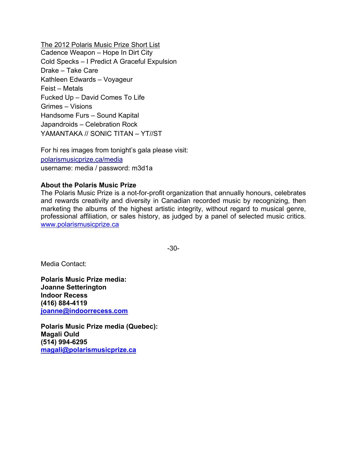The 2012 Polaris Music Prize Short List Cadence Weapon – Hope In Dirt City Cold Specks – I Predict A Graceful Expulsion Drake – Take Care Kathleen Edwards – Voyageur Feist – Metals Fucked Up – David Comes To Life Grimes – Visions Handsome Furs – Sound Kapital Japandroids – Celebration Rock YAMANTAKA // SONIC TITAN – YT//ST

For hi res images from tonight's gala please visit: polarismusicprize.ca/media username: media / password: m3d1a

### **About the Polaris Music Prize**

The Polaris Music Prize is a not-for-profit organization that annually honours, celebrates and rewards creativity and diversity in Canadian recorded music by recognizing, then marketing the albums of the highest artistic integrity, without regard to musical genre, professional affiliation, or sales history, as judged by a panel of selected music critics. www.polarismusicprize.ca

-30-

Media Contact:

**Polaris Music Prize media: Joanne Setterington Indoor Recess (416) 884-4119 joanne@indoorrecess.com**

**Polaris Music Prize media (Quebec): Magali Ould (514) 994-6295 magali@polarismusicprize.ca**